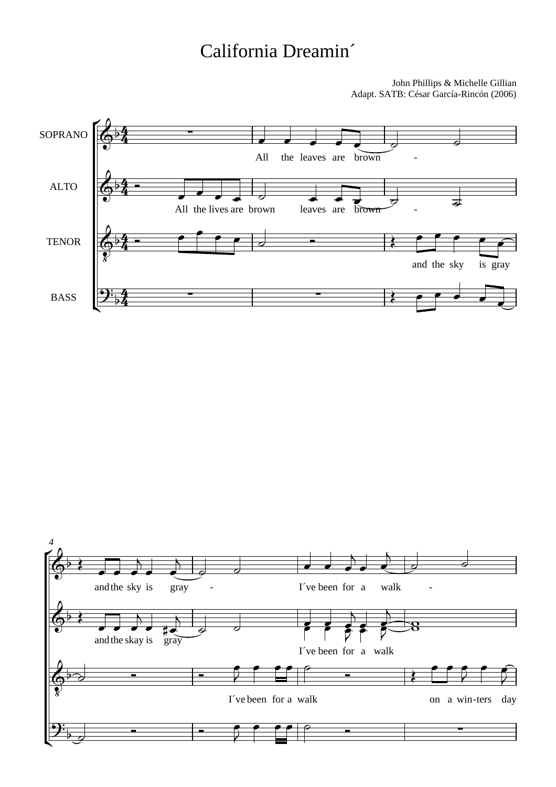## California Dreamin´

John Phillips & Michelle Gillian Adapt. SATB: César García-Rincón (2006)



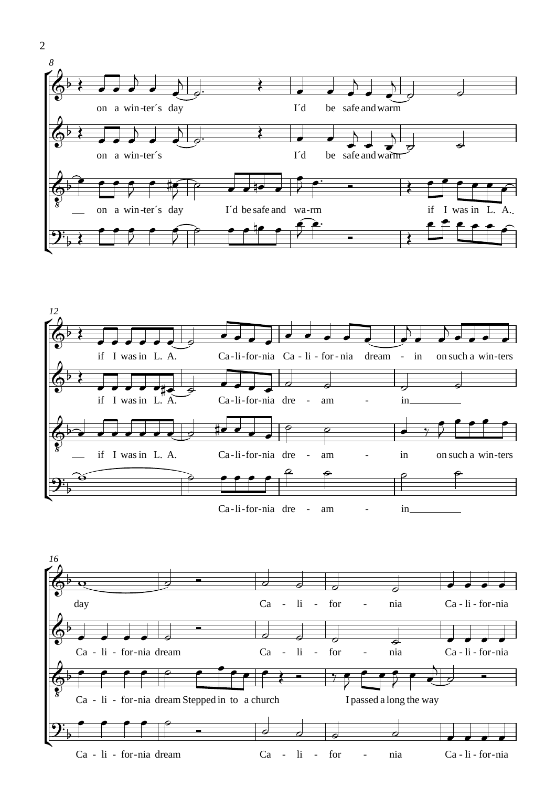



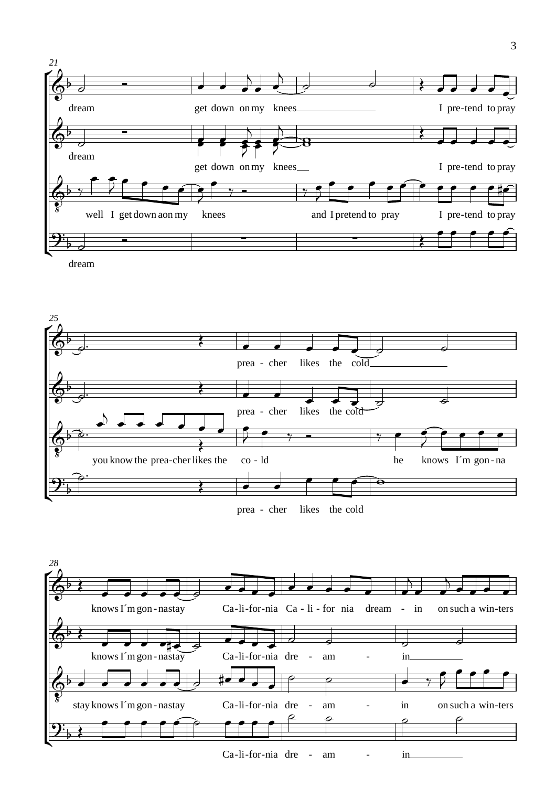

dream





 $Ca$ -li-for-nia dre -- am - in -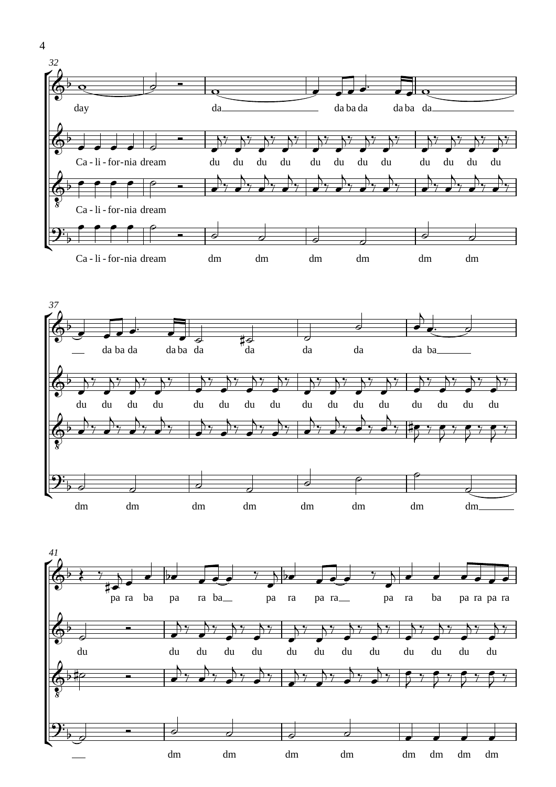

 $9:$   $\frac{1}{2}$ dm  $\frac{1}{2}$ dm  $\overline{\mathsf{Q}}$ dm  $\overline{\phantom{a}}$ dm  $\overline{\phantom{a}}$ dm  $\overline{\phantom{a}}$ dm  $\overline{\phantom{0}}$ dm  $\overline{\phantom{0}}$ dm  $\overline{\phantom{a}}$ 

4

ľ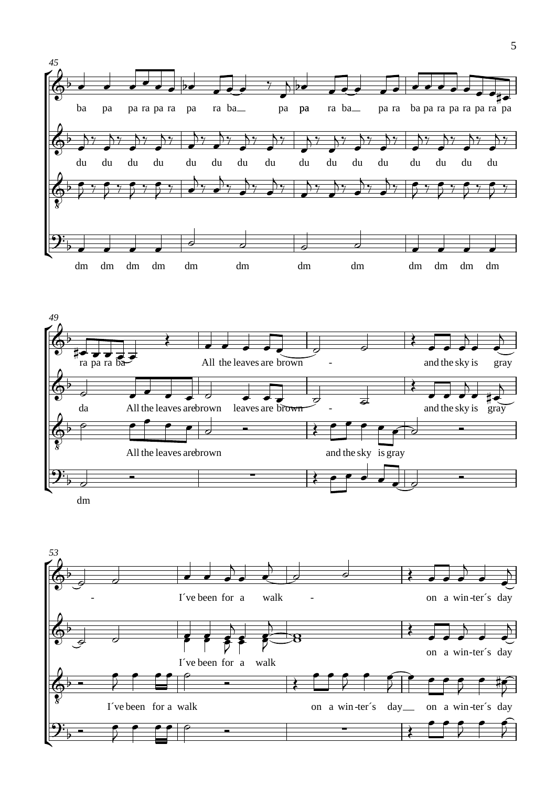



dm